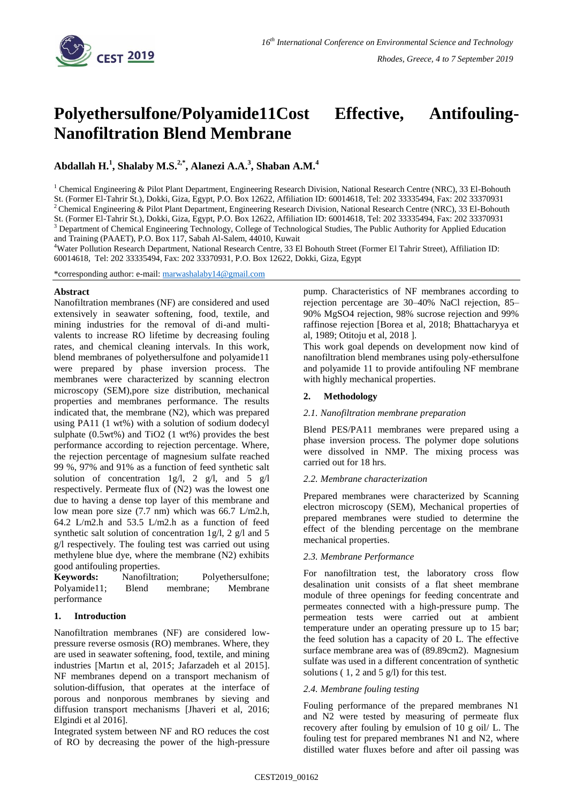

# **Polyethersulfone/Polyamide11Cost Effective, Antifouling-Nanofiltration Blend Membrane**

**Abdallah H. 1 , Shalaby M.S.2,\* , Alanezi A.A. 3 , Shaban A.M.<sup>4</sup>**

<sup>1</sup> Chemical Engineering & Pilot Plant Department, Engineering Research Division, National Research Centre (NRC), 33 El-Bohouth St. (Former El-Tahrir St.), Dokki, Giza, Egypt, P.O. Box 12622, Affiliation ID: 60014618, Tel: 202 33335494, Fax: 202 33370931 <sup>2</sup> Chemical Engineering & Pilot Plant Department, Engineering Research Division, National Research Centre (NRC), 33 El-Bohouth St. (Former El-Tahrir St.), Dokki, Giza, Egypt, P.O. Box 12622, Affiliation ID: 60014618, Tel: 202 33335494, Fax: 202 33370931 <sup>3</sup> Department of Chemical Engineering Technology, College of Technological Studies, The Public Authority for Applied Education and Training (PAAET), P.O. Box 117, Sabah Al-Salem, 44010, Kuwait

<sup>4</sup>Water Pollution Research Department, National Research Centre, 33 El Bohouth Street (Former El Tahrir Street), Affiliation ID: 60014618, Tel: 202 33335494, Fax: 202 33370931, P.O. Box 12622, Dokki, Giza, Egypt

\*corresponding author: e-mail: [marwashalaby14@gmail.com](mailto:marwashalaby14@gmail.com)

## **Abstract**

Nanofiltration membranes (NF) are considered and used extensively in seawater softening, food, textile, and mining industries for the removal of di-and multivalents to increase RO lifetime by decreasing fouling rates, and chemical cleaning intervals. In this work, blend membranes of polyethersulfone and polyamide11 were prepared by phase inversion process. The membranes were characterized by scanning electron microscopy (SEM),pore size distribution, mechanical properties and membranes performance. The results indicated that, the membrane (N2), which was prepared using PA11 (1 wt%) with a solution of sodium dodecyl sulphate (0.5wt%) and TiO2 (1 wt%) provides the best performance according to rejection percentage. Where, the rejection percentage of magnesium sulfate reached 99 %, 97% and 91% as a function of feed synthetic salt solution of concentration 1g/l, 2 g/l, and 5 g/l respectively. Permeate flux of (N2) was the lowest one due to having a dense top layer of this membrane and low mean pore size (7.7 nm) which was 66.7 L/m2.h, 64.2 L/m2.h and 53.5 L/m2.h as a function of feed synthetic salt solution of concentration 1g/l, 2 g/l and 5 g/l respectively. The fouling test was carried out using methylene blue dye, where the membrane (N2) exhibits good antifouling properties.

**Keywords:** Nanofiltration; Polyethersulfone; Polyamide11; Blend membrane; Membrane performance

## **1. Introduction**

Nanofiltration membranes (NF) are considered lowpressure reverse osmosis (RO) membranes. Where, they are used in seawater softening, food, textile, and mining industries [Martın et al, 2015; Jafarzadeh et al 2015]. NF membranes depend on a transport mechanism of solution-diffusion, that operates at the interface of porous and nonporous membranes by sieving and diffusion transport mechanisms [Jhaveri et al, 2016; Elgindi et al 2016].

Integrated system between NF and RO reduces the cost of RO by decreasing the power of the high-pressure pump. Characteristics of NF membranes according to rejection percentage are 30–40% NaCl rejection, 85– 90% MgSO4 rejection, 98% sucrose rejection and 99% raffinose rejection [Borea et al, 2018; Bhattacharyya et al, 1989; Otitoju et al, 2018 ].

This work goal depends on development now kind of nanofiltration blend membranes using poly-ethersulfone and polyamide 11 to provide antifouling NF membrane with highly mechanical properties.

## **2. Methodology**

## *2.1. Nanofiltration membrane preparation*

Blend PES/PA11 membranes were prepared using a phase inversion process. The polymer dope solutions were dissolved in NMP. The mixing process was carried out for 18 hrs.

## *2.2. Membrane characterization*

Prepared membranes were characterized by Scanning electron microscopy (SEM), Mechanical properties of prepared membranes were studied to determine the effect of the blending percentage on the membrane mechanical properties.

## *2.3. Membrane Performance*

For nanofiltration test, the laboratory cross flow desalination unit consists of a flat sheet membrane module of three openings for feeding concentrate and permeates connected with a high-pressure pump. The permeation tests were carried out at ambient temperature under an operating pressure up to 15 bar; the feed solution has a capacity of 20 L. The effective surface membrane area was of (89.89cm2). Magnesium sulfate was used in a different concentration of synthetic solutions ( $1, 2$  and  $5$  g/l) for this test.

## *2.4. Membrane fouling testing*

Fouling performance of the prepared membranes N1 and N2 were tested by measuring of permeate flux recovery after fouling by emulsion of 10 g oil/ L. The fouling test for prepared membranes N1 and N2, where distilled water fluxes before and after oil passing was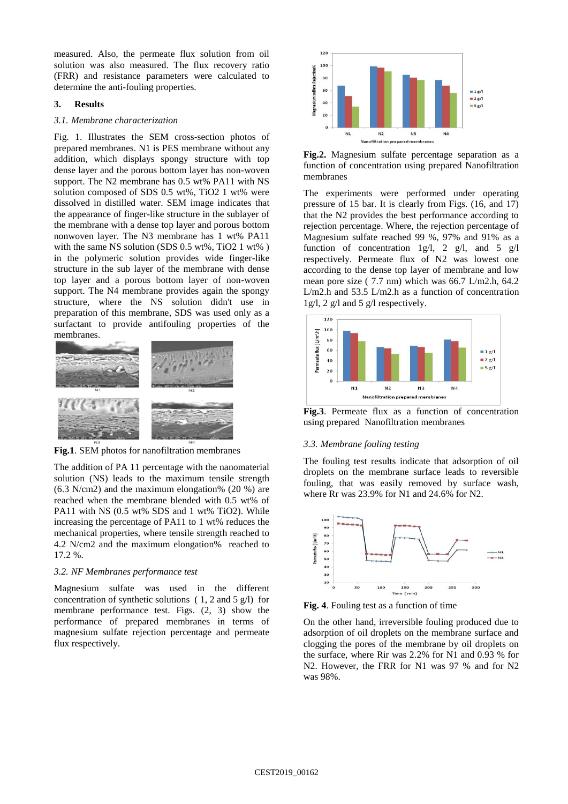measured. Also, the permeate flux solution from oil solution was also measured. The flux recovery ratio (FRR) and resistance parameters were calculated to determine the anti-fouling properties.

#### **3. Results**

#### *3.1. Membrane characterization*

Fig. 1. Illustrates the SEM cross-section photos of prepared membranes. N1 is PES membrane without any addition, which displays spongy structure with top dense layer and the porous bottom layer has non-woven support. The N2 membrane has 0.5 wt% PA11 with NS solution composed of SDS 0.5 wt%, TiO2 1 wt% were dissolved in distilled water. SEM image indicates that the appearance of finger-like structure in the sublayer of the membrane with a dense top layer and porous bottom nonwoven layer. The N3 membrane has 1 wt% PA11 with the same NS solution (SDS 0.5 wt%, TiO2 1 wt% ) in the polymeric solution provides wide finger-like structure in the sub layer of the membrane with dense top layer and a porous bottom layer of non-woven support. The N4 membrane provides again the spongy structure, where the NS solution didn't use in preparation of this membrane, SDS was used only as a surfactant to provide antifouling properties of the membranes.



**Fig.1**. SEM photos for nanofiltration membranes

The addition of PA 11 percentage with the nanomaterial solution (NS) leads to the maximum tensile strength (6.3 N/cm2) and the maximum elongation% (20 %) are reached when the membrane blended with 0.5 wt% of PA11 with NS (0.5 wt% SDS and 1 wt% TiO2). While increasing the percentage of PA11 to 1 wt% reduces the mechanical properties, where tensile strength reached to 4.2 N/cm2 and the maximum elongation% reached to 17.2 %.

#### *3.2. NF Membranes performance test*

Magnesium sulfate was used in the different concentration of synthetic solutions ( 1, 2 and 5 g/l) for membrane performance test. Figs. (2, 3) show the performance of prepared membranes in terms of magnesium sulfate rejection percentage and permeate flux respectively.



**Fig.2.** Magnesium sulfate percentage separation as a function of concentration using prepared Nanofiltration membranes

The experiments were performed under operating pressure of 15 bar. It is clearly from Figs. (16, and 17) that the N2 provides the best performance according to rejection percentage. Where, the rejection percentage of Magnesium sulfate reached 99 %, 97% and 91% as a function of concentration 1g/l, 2 g/l, and 5 g/l respectively. Permeate flux of N2 was lowest one according to the dense top layer of membrane and low mean pore size ( 7.7 nm) which was 66.7 L/m2.h, 64.2 L/m2.h and 53.5 L/m2.h as a function of concentration 1g/l, 2 g/l and 5 g/l respectively.



**Fig.3**. Permeate flux as a function of concentration using prepared Nanofiltration membranes

#### *3.3. Membrane fouling testing*

The fouling test results indicate that adsorption of oil droplets on the membrane surface leads to reversible fouling, that was easily removed by surface wash, where Rr was 23.9% for N1 and 24.6% for N2.



**Fig. 4**. Fouling test as a function of time

On the other hand, irreversible fouling produced due to adsorption of oil droplets on the membrane surface and clogging the pores of the membrane by oil droplets on the surface, where Rir was 2.2% for N1 and 0.93 % for N2. However, the FRR for N1 was 97 % and for N2 was 98%.